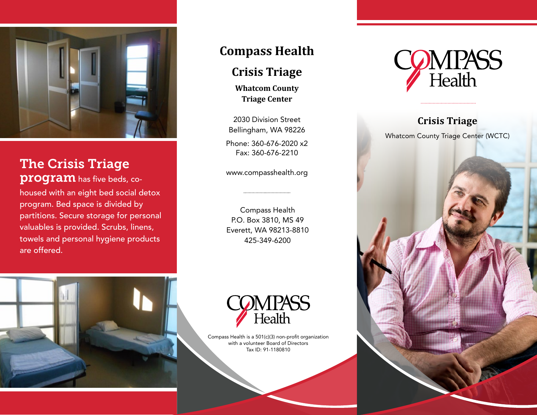

# The Crisis Triage

program has five beds, cohoused with an eight bed social detox program. Bed space is divided by partitions. Secure storage for personal valuables is provided. Scrubs, linens, towels and personal hygiene products are offered.

# **Compass Health**

## **Crisis Triage**

**Whatcom County Triage Center**

2030 Division Street Bellingham, WA 98226 Phone: 360-676-2020 x2 Fax: 360-676-2210

www.compasshealth.org

Compass Health P.O. Box 3810, MS 49 Everett, WA 98213-8810 425-349-6200





Compass Health is a 501(c)(3) non-profit organization with a volunteer Board of Directors Tax ID: 91-1180810



# **Crisis Triage**

Whatcom County Triage Center (WCTC)